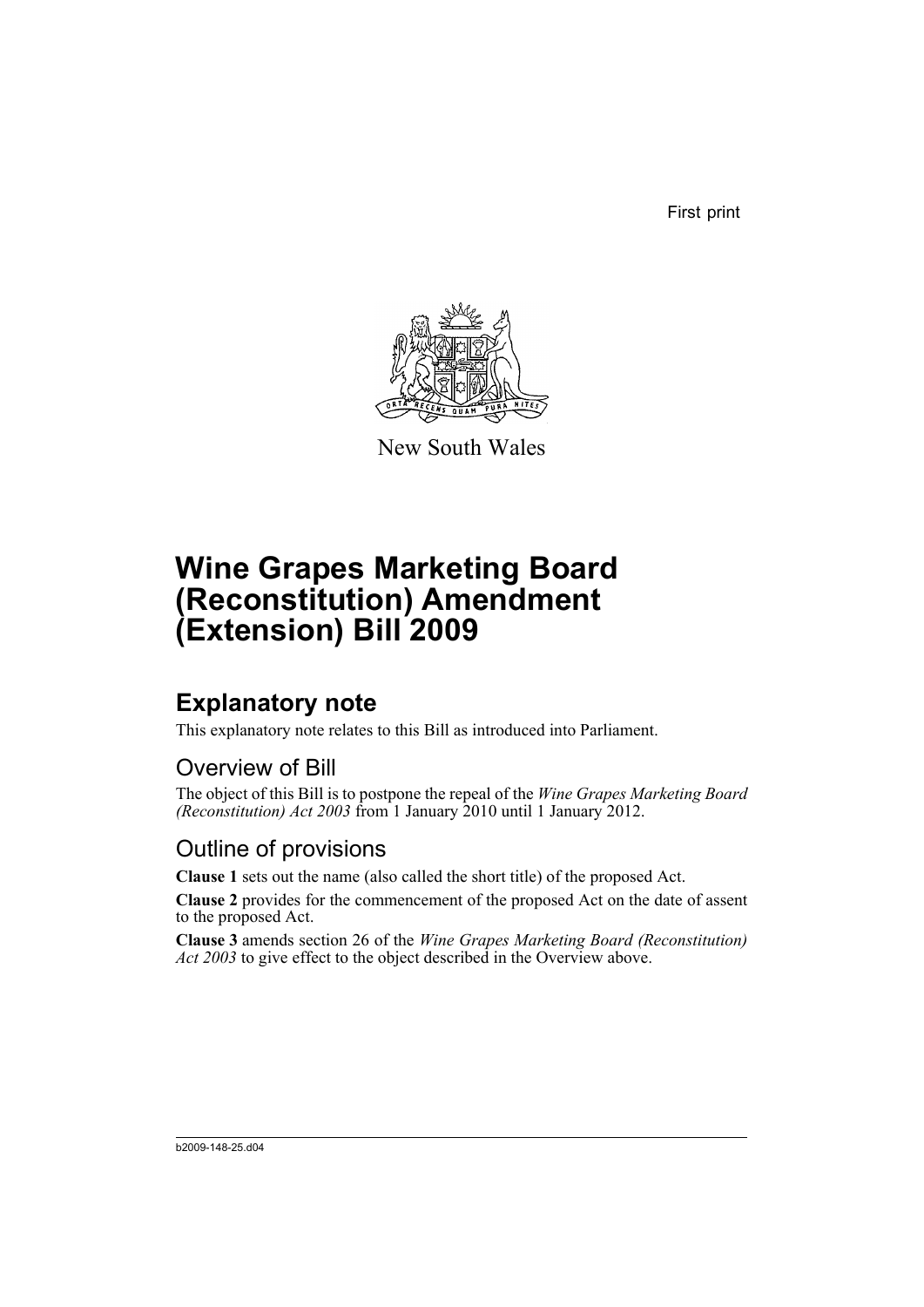First print



New South Wales

# **Wine Grapes Marketing Board (Reconstitution) Amendment (Extension) Bill 2009**

## **Explanatory note**

This explanatory note relates to this Bill as introduced into Parliament.

#### Overview of Bill

The object of this Bill is to postpone the repeal of the *Wine Grapes Marketing Board (Reconstitution) Act 2003* from 1 January 2010 until 1 January 2012.

#### Outline of provisions

**Clause 1** sets out the name (also called the short title) of the proposed Act.

**Clause 2** provides for the commencement of the proposed Act on the date of assent to the proposed Act.

**Clause 3** amends section 26 of the *Wine Grapes Marketing Board (Reconstitution) Act 2003* to give effect to the object described in the Overview above.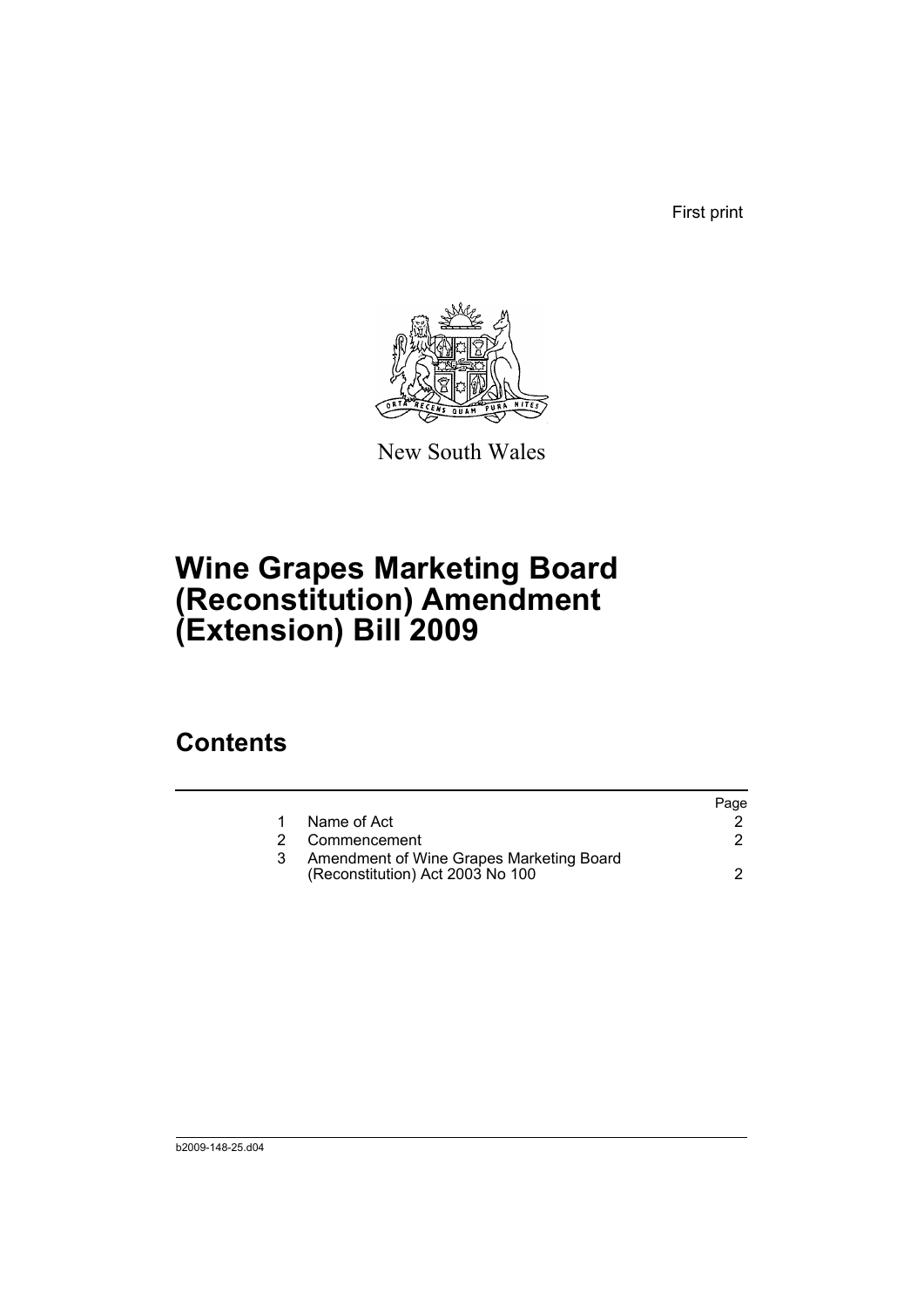First print



New South Wales

# **Wine Grapes Marketing Board (Reconstitution) Amendment (Extension) Bill 2009**

## **Contents**

|   |                                                                              | Page |
|---|------------------------------------------------------------------------------|------|
|   | Name of Act                                                                  |      |
| 2 | Commencement                                                                 |      |
|   | Amendment of Wine Grapes Marketing Board<br>(Reconstitution) Act 2003 No 100 |      |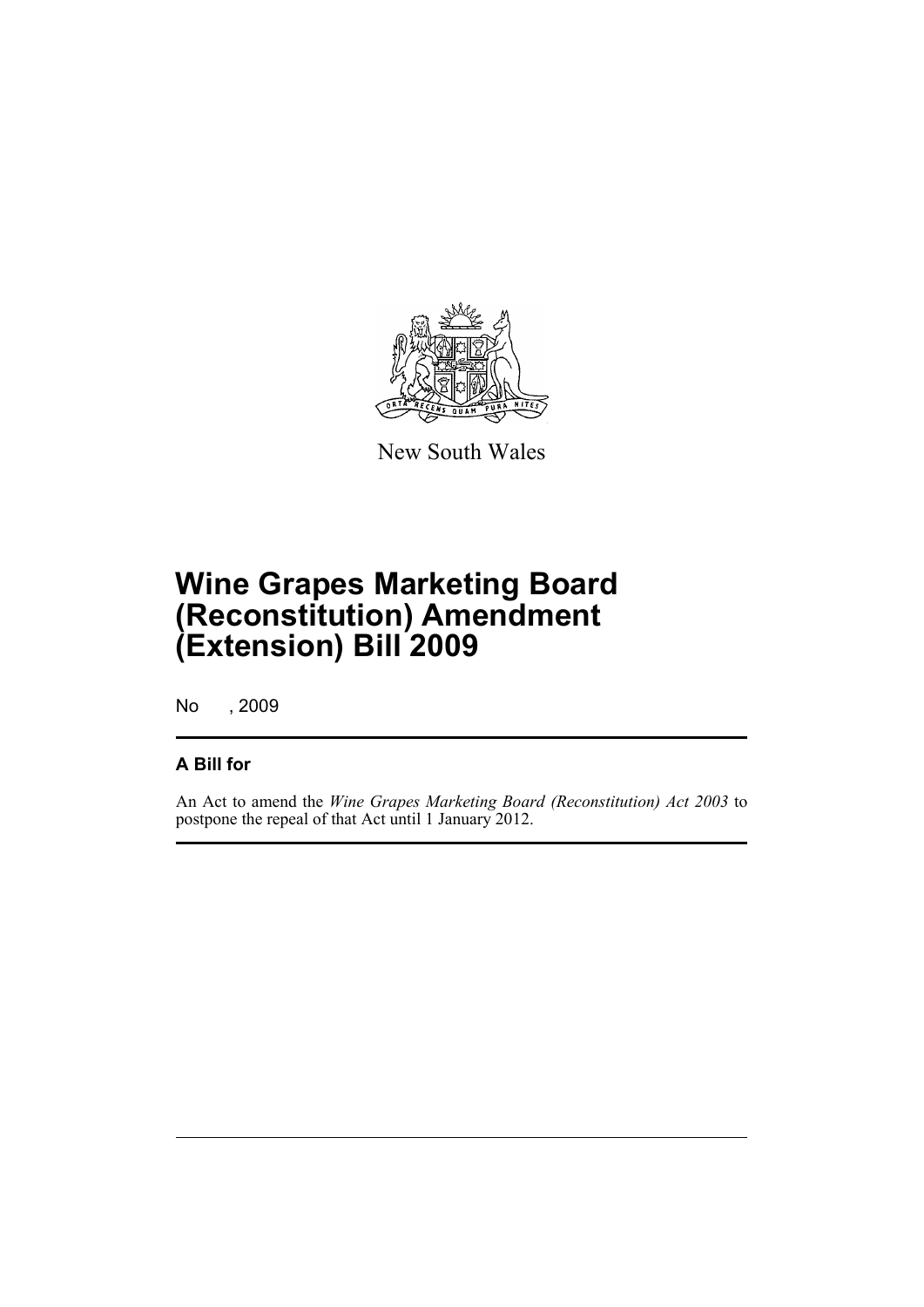

New South Wales

# **Wine Grapes Marketing Board (Reconstitution) Amendment (Extension) Bill 2009**

No , 2009

#### **A Bill for**

An Act to amend the *Wine Grapes Marketing Board (Reconstitution) Act 2003* to postpone the repeal of that Act until 1 January 2012.